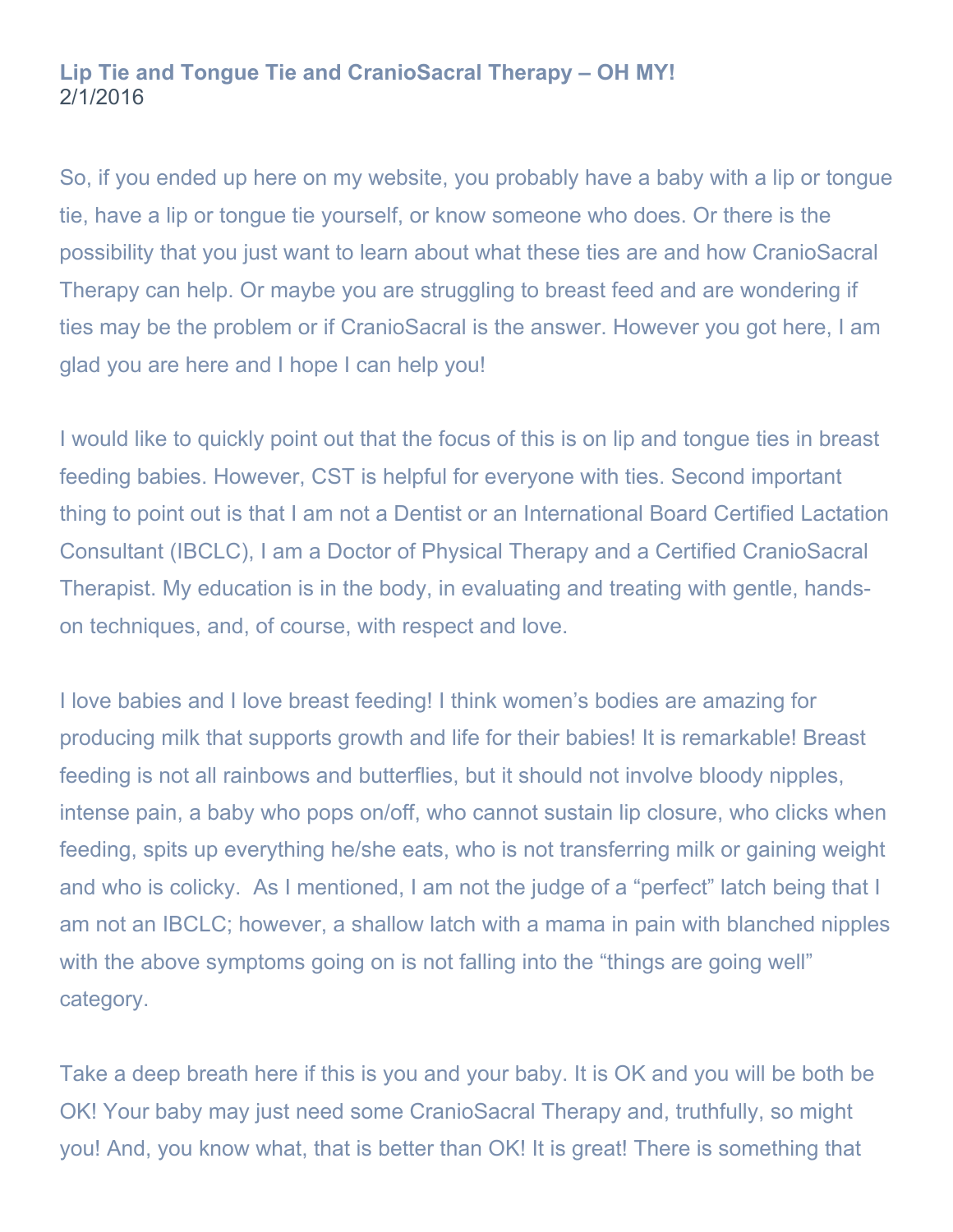## **Lip Tie and Tongue Tie and CranioSacral Therapy – OH MY!**  2/1/2016

So, if you ended up here on my website, you probably have a baby with a lip or tongue tie, have a lip or tongue tie yourself, or know someone who does. Or there is the possibility that you just want to learn about what these ties are and how CranioSacral Therapy can help. Or maybe you are struggling to breast feed and are wondering if ties may be the problem or if CranioSacral is the answer. However you got here, I am glad you are here and I hope I can help you!

I would like to quickly point out that the focus of this is on lip and tongue ties in breast feeding babies. However, CST is helpful for everyone with ties. Second important thing to point out is that I am not a Dentist or an International Board Certified Lactation Consultant (IBCLC), I am a Doctor of Physical Therapy and a Certified CranioSacral Therapist. My education is in the body, in evaluating and treating with gentle, handson techniques, and, of course, with respect and love.

I love babies and I love breast feeding! I think women's bodies are amazing for producing milk that supports growth and life for their babies! It is remarkable! Breast feeding is not all rainbows and butterflies, but it should not involve bloody nipples, intense pain, a baby who pops on/off, who cannot sustain lip closure, who clicks when feeding, spits up everything he/she eats, who is not transferring milk or gaining weight and who is colicky. As I mentioned, I am not the judge of a "perfect" latch being that I am not an IBCLC; however, a shallow latch with a mama in pain with blanched nipples with the above symptoms going on is not falling into the "things are going well" category.

Take a deep breath here if this is you and your baby. It is OK and you will be both be OK! Your baby may just need some CranioSacral Therapy and, truthfully, so might you! And, you know what, that is better than OK! It is great! There is something that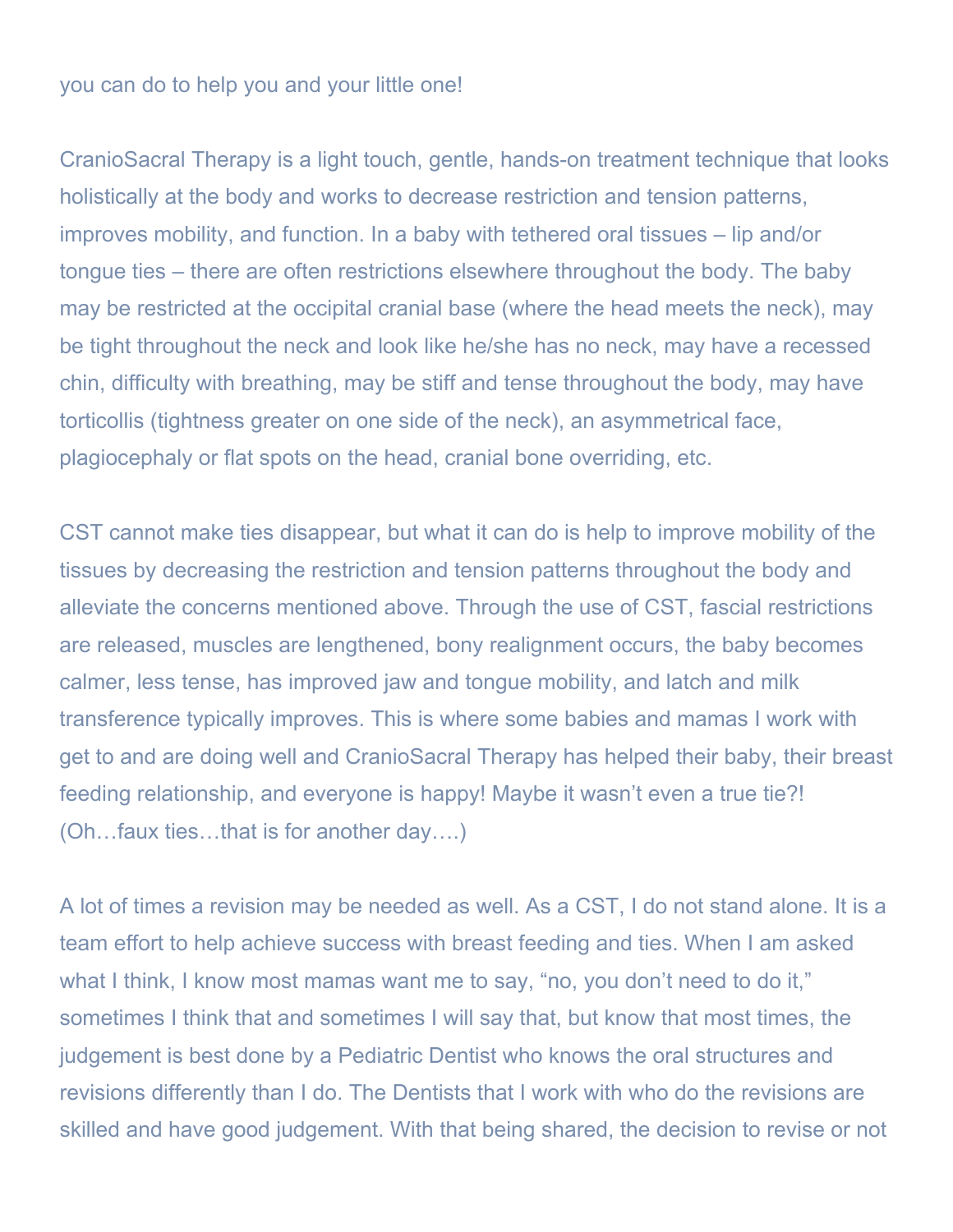## you can do to help you and your little one!

CranioSacral Therapy is a light touch, gentle, hands-on treatment technique that looks holistically at the body and works to decrease restriction and tension patterns, improves mobility, and function. In a baby with tethered oral tissues – lip and/or tongue ties – there are often restrictions elsewhere throughout the body. The baby may be restricted at the occipital cranial base (where the head meets the neck), may be tight throughout the neck and look like he/she has no neck, may have a recessed chin, difficulty with breathing, may be stiff and tense throughout the body, may have torticollis (tightness greater on one side of the neck), an asymmetrical face, plagiocephaly or flat spots on the head, cranial bone overriding, etc.

CST cannot make ties disappear, but what it can do is help to improve mobility of the tissues by decreasing the restriction and tension patterns throughout the body and alleviate the concerns mentioned above. Through the use of CST, fascial restrictions are released, muscles are lengthened, bony realignment occurs, the baby becomes calmer, less tense, has improved jaw and tongue mobility, and latch and milk transference typically improves. This is where some babies and mamas I work with get to and are doing well and CranioSacral Therapy has helped their baby, their breast feeding relationship, and everyone is happy! Maybe it wasn't even a true tie?! (Oh…faux ties…that is for another day….)

A lot of times a revision may be needed as well. As a CST, I do not stand alone. It is a team effort to help achieve success with breast feeding and ties. When I am asked what I think, I know most mamas want me to say, "no, you don't need to do it," sometimes I think that and sometimes I will say that, but know that most times, the judgement is best done by a Pediatric Dentist who knows the oral structures and revisions differently than I do. The Dentists that I work with who do the revisions are skilled and have good judgement. With that being shared, the decision to revise or not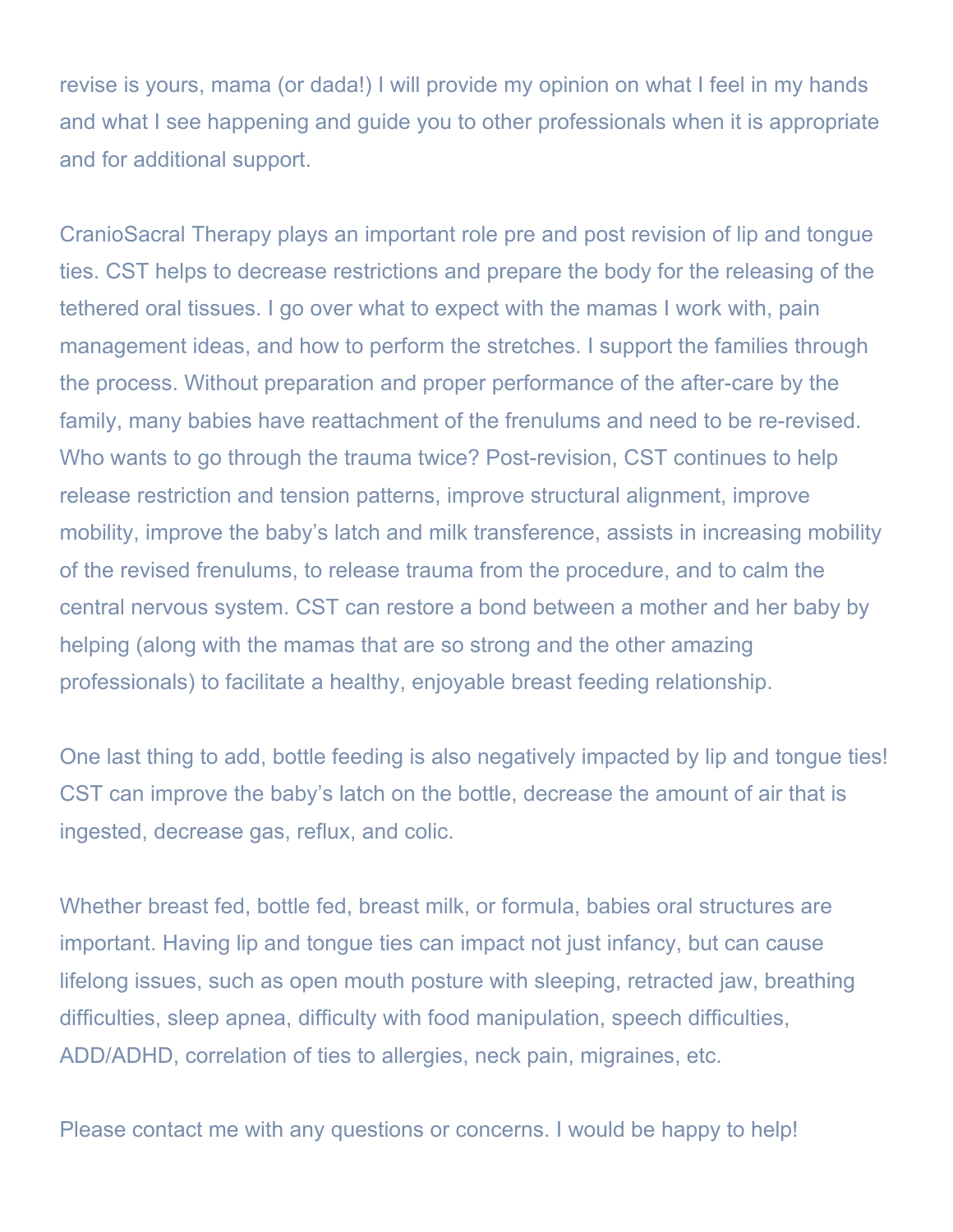revise is yours, mama (or dada!) I will provide my opinion on what I feel in my hands and what I see happening and guide you to other professionals when it is appropriate and for additional support.

CranioSacral Therapy plays an important role pre and post revision of lip and tongue ties. CST helps to decrease restrictions and prepare the body for the releasing of the tethered oral tissues. I go over what to expect with the mamas I work with, pain management ideas, and how to perform the stretches. I support the families through the process. Without preparation and proper performance of the after-care by the family, many babies have reattachment of the frenulums and need to be re-revised. Who wants to go through the trauma twice? Post-revision, CST continues to help release restriction and tension patterns, improve structural alignment, improve mobility, improve the baby's latch and milk transference, assists in increasing mobility of the revised frenulums, to release trauma from the procedure, and to calm the central nervous system. CST can restore a bond between a mother and her baby by helping (along with the mamas that are so strong and the other amazing professionals) to facilitate a healthy, enjoyable breast feeding relationship.

One last thing to add, bottle feeding is also negatively impacted by lip and tongue ties! CST can improve the baby's latch on the bottle, decrease the amount of air that is ingested, decrease gas, reflux, and colic.

Whether breast fed, bottle fed, breast milk, or formula, babies oral structures are important. Having lip and tongue ties can impact not just infancy, but can cause lifelong issues, such as open mouth posture with sleeping, retracted jaw, breathing difficulties, sleep apnea, difficulty with food manipulation, speech difficulties, ADD/ADHD, correlation of ties to allergies, neck pain, migraines, etc.

Please contact me with any questions or concerns. I would be happy to help!